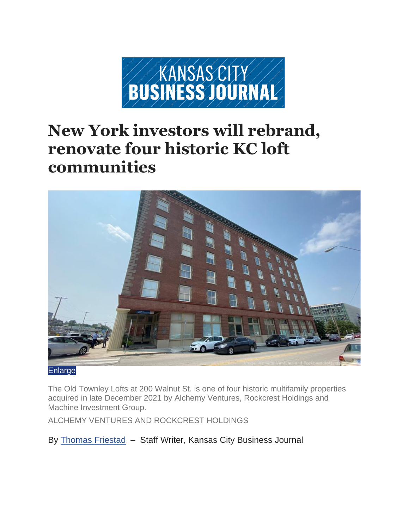

## **New York investors will rebrand, renovate four historic KC loft communities**



**[Enlarge](https://www.bizjournals.com/)** 

The Old Townley Lofts at 200 Walnut St. is one of four historic multifamily properties acquired in late December 2021 by Alchemy Ventures, Rockcrest Holdings and Machine Investment Group.

ALCHEMY VENTURES AND ROCKCREST HOLDING[S](https://www.bizjournals.com/kansascity/bio/41450/Thomas+Friestad)

By Thomas [Friestad](https://www.bizjournals.com/kansascity/bio/41450/Thomas+Friestad) – Staff Writer, Kansas City Business Journal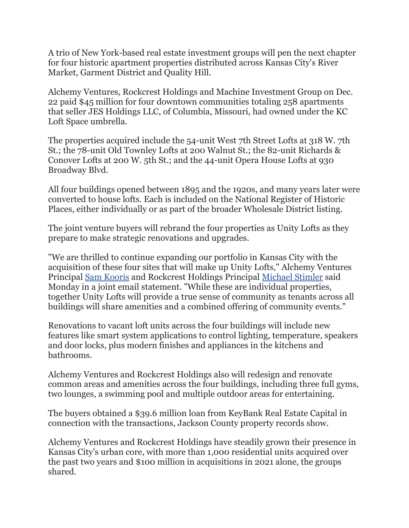A trio of New York-based real estate investment groups will pen the next chapter for four historic apartment properties distributed across Kansas City's River Market, Garment District and Quality Hill.

Alchemy Ventures, Rockcrest Holdings and Machine Investment Group on Dec. 22 paid \$45 million for four downtown communities totaling 258 apartments that seller JES Holdings LLC, of Columbia, Missouri, had owned under the KC Loft Space umbrella.

The properties acquired include the 54-unit West 7th Street Lofts at 318 W. 7th St.; the 78-unit Old Townley Lofts at 200 Walnut St.; the 82-unit Richards & Conover Lofts at 200 W. 5th St.; and the 44-unit Opera House Lofts at 930 Broadway Blvd.

All four buildings opened between 1895 and the 1920s, and many years later were converted to house lofts. Each is included on the National Register of Historic Places, either individually or as part of the broader Wholesale District listing.

The joint venture buyers will rebrand the four properties as Unity Lofts as they prepare to make strategic renovations and upgrades.

"We are thrilled to continue expanding our portfolio in Kansas City with the acquisition of these four sites that will make up Unity Lofts," Alchemy Ventures Principal [Sam Kooris](https://www.bizjournals.com/kansascity/search/results?q=Sam%20Kooris) and Rockcrest Holdings Principal [Michael Stimler](https://www.bizjournals.com/kansascity/search/results?q=Michael%20Stimler) said Monday in a joint email statement. "While these are individual properties, together Unity Lofts will provide a true sense of community as tenants across all buildings will share amenities and a combined offering of community events."

Renovations to vacant loft units across the four buildings will include new features like smart system applications to control lighting, temperature, speakers and door locks, plus modern finishes and appliances in the kitchens and bathrooms.

Alchemy Ventures and Rockcrest Holdings also will redesign and renovate common areas and amenities across the four buildings, including three full gyms, two lounges, a swimming pool and multiple outdoor areas for entertaining.

The buyers obtained a \$39.6 million loan from KeyBank Real Estate Capital in connection with the transactions, Jackson County property records show.

Alchemy Ventures and Rockcrest Holdings have steadily grown their presence in Kansas City's urban core, with more than 1,000 residential units acquired over the past two years and \$100 million in acquisitions in 2021 alone, the groups shared.